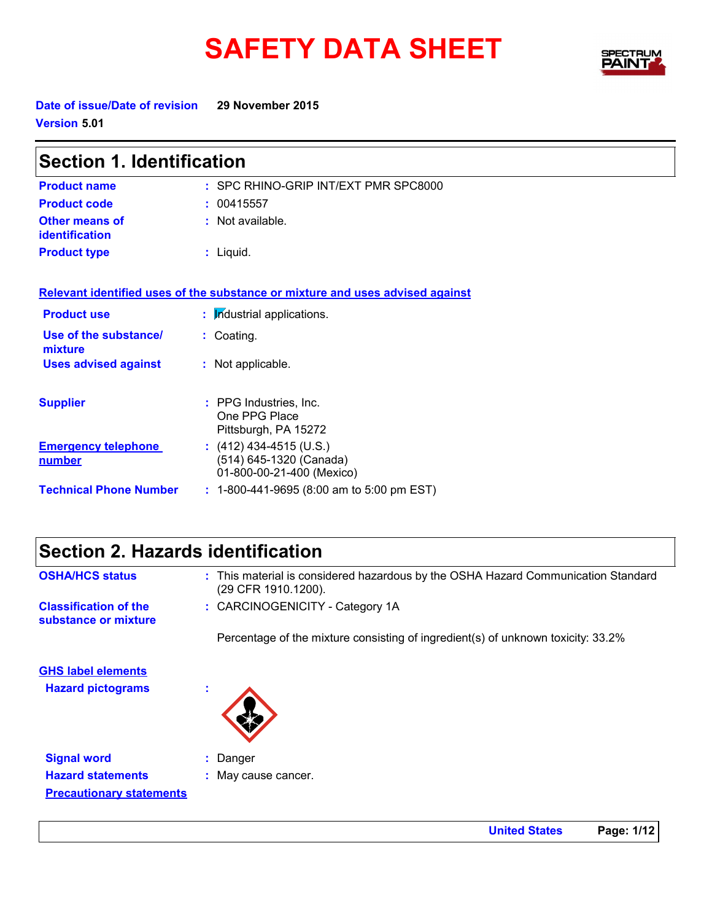# SAFETY DATA SHEET SPECTRY



**Date of issue/Date of revision 29 November 2015 Version 5.01**

| <b>Section 1. Identification</b>            |                                                                                   |  |
|---------------------------------------------|-----------------------------------------------------------------------------------|--|
| <b>Product name</b>                         | : SPC RHINO-GRIP INT/EXT PMR SPC8000                                              |  |
| <b>Product code</b>                         | : 00415557                                                                        |  |
| <b>Other means of</b><br>identification     | : Not available.                                                                  |  |
| <b>Product type</b>                         | $:$ Liquid.                                                                       |  |
|                                             | Relevant identified uses of the substance or mixture and uses advised against     |  |
| <b>Product use</b>                          | : Industrial applications.                                                        |  |
| Use of the substance/<br>mixture            | : Coating.                                                                        |  |
| <b>Uses advised against</b>                 | : Not applicable.                                                                 |  |
| <b>Supplier</b>                             | : PPG Industries, Inc.<br>One PPG Place<br>Pittsburgh, PA 15272                   |  |
| <b>Emergency telephone</b><br><u>number</u> | : $(412)$ 434-4515 (U.S.)<br>(514) 645-1320 (Canada)<br>01-800-00-21-400 (Mexico) |  |
| <b>Technical Phone Number</b>               | : 1-800-441-9695 (8:00 am to 5:00 pm EST)                                         |  |

| Section 2. Hazards identification                    |                                                                                                          |
|------------------------------------------------------|----------------------------------------------------------------------------------------------------------|
| <b>OSHA/HCS status</b>                               | : This material is considered hazardous by the OSHA Hazard Communication Standard<br>(29 CFR 1910.1200). |
| <b>Classification of the</b><br>substance or mixture | : CARCINOGENICITY - Category 1A                                                                          |
|                                                      | Percentage of the mixture consisting of ingredient(s) of unknown toxicity: 33.2%                         |
| <b>GHS label elements</b>                            |                                                                                                          |
| <b>Hazard pictograms</b>                             |                                                                                                          |
| <b>Signal word</b>                                   | : Danger                                                                                                 |
| <b>Hazard statements</b>                             | : May cause cancer.                                                                                      |
| <b>Precautionary statements</b>                      |                                                                                                          |

**United States Page: 1/12**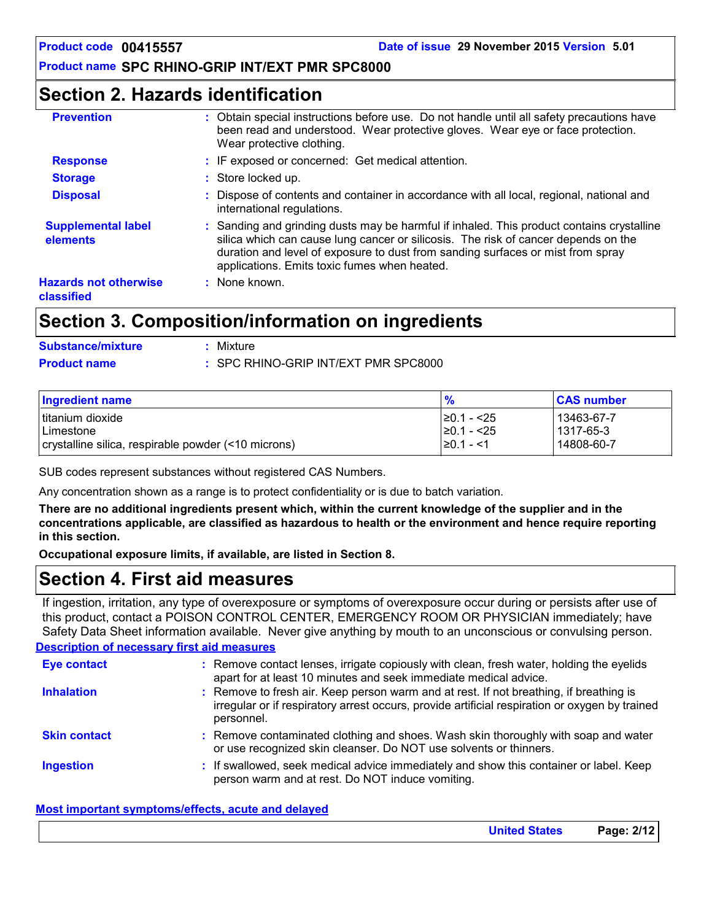### **Section 2. Hazards identification**

| <b>Prevention</b>                          | : Obtain special instructions before use. Do not handle until all safety precautions have<br>been read and understood. Wear protective gloves. Wear eye or face protection.<br>Wear protective clothing.                                                                                                           |
|--------------------------------------------|--------------------------------------------------------------------------------------------------------------------------------------------------------------------------------------------------------------------------------------------------------------------------------------------------------------------|
| <b>Response</b>                            | : IF exposed or concerned: Get medical attention.                                                                                                                                                                                                                                                                  |
| <b>Storage</b>                             | : Store locked up.                                                                                                                                                                                                                                                                                                 |
| <b>Disposal</b>                            | : Dispose of contents and container in accordance with all local, regional, national and<br>international regulations.                                                                                                                                                                                             |
| <b>Supplemental label</b><br>elements      | : Sanding and grinding dusts may be harmful if inhaled. This product contains crystalline<br>silica which can cause lung cancer or silicosis. The risk of cancer depends on the<br>duration and level of exposure to dust from sanding surfaces or mist from spray<br>applications. Emits toxic fumes when heated. |
| <b>Hazards not otherwise</b><br>classified | $:$ None known.                                                                                                                                                                                                                                                                                                    |

### **Section 3. Composition/information on ingredients**

| <b>Substance/mixture</b> | : Mixture                            |
|--------------------------|--------------------------------------|
| <b>Product name</b>      | : SPC RHINO-GRIP INT/EXT PMR SPC8000 |

| Ingredient name                                     | $\frac{9}{6}$  | <b>CAS number</b> |
|-----------------------------------------------------|----------------|-------------------|
| I titanium dioxide                                  | I≥0.1 - <25    | 13463-67-7        |
| Limestone                                           | I≥0.1 - <25    | 1317-65-3         |
| crystalline silica, respirable powder (<10 microns) | $\geq 0.1 - 1$ | 14808-60-7        |

SUB codes represent substances without registered CAS Numbers.

Any concentration shown as a range is to protect confidentiality or is due to batch variation.

**There are no additional ingredients present which, within the current knowledge of the supplier and in the concentrations applicable, are classified as hazardous to health or the environment and hence require reporting in this section.**

**Occupational exposure limits, if available, are listed in Section 8.**

### **Section 4. First aid measures**

If ingestion, irritation, any type of overexposure or symptoms of overexposure occur during or persists after use of this product, contact a POISON CONTROL CENTER, EMERGENCY ROOM OR PHYSICIAN immediately; have Safety Data Sheet information available. Never give anything by mouth to an unconscious or convulsing person.

#### **Description of necessary first aid measures**

| <b>Eye contact</b>  | : Remove contact lenses, irrigate copiously with clean, fresh water, holding the eyelids<br>apart for at least 10 minutes and seek immediate medical advice.                                           |
|---------------------|--------------------------------------------------------------------------------------------------------------------------------------------------------------------------------------------------------|
| <b>Inhalation</b>   | : Remove to fresh air. Keep person warm and at rest. If not breathing, if breathing is<br>irregular or if respiratory arrest occurs, provide artificial respiration or oxygen by trained<br>personnel. |
| <b>Skin contact</b> | : Remove contaminated clothing and shoes. Wash skin thoroughly with soap and water<br>or use recognized skin cleanser. Do NOT use solvents or thinners.                                                |
| <b>Ingestion</b>    | : If swallowed, seek medical advice immediately and show this container or label. Keep<br>person warm and at rest. Do NOT induce vomiting.                                                             |

#### **Most important symptoms/effects, acute and delayed**

| <b>United States</b> | Page: 2/12 |
|----------------------|------------|
|----------------------|------------|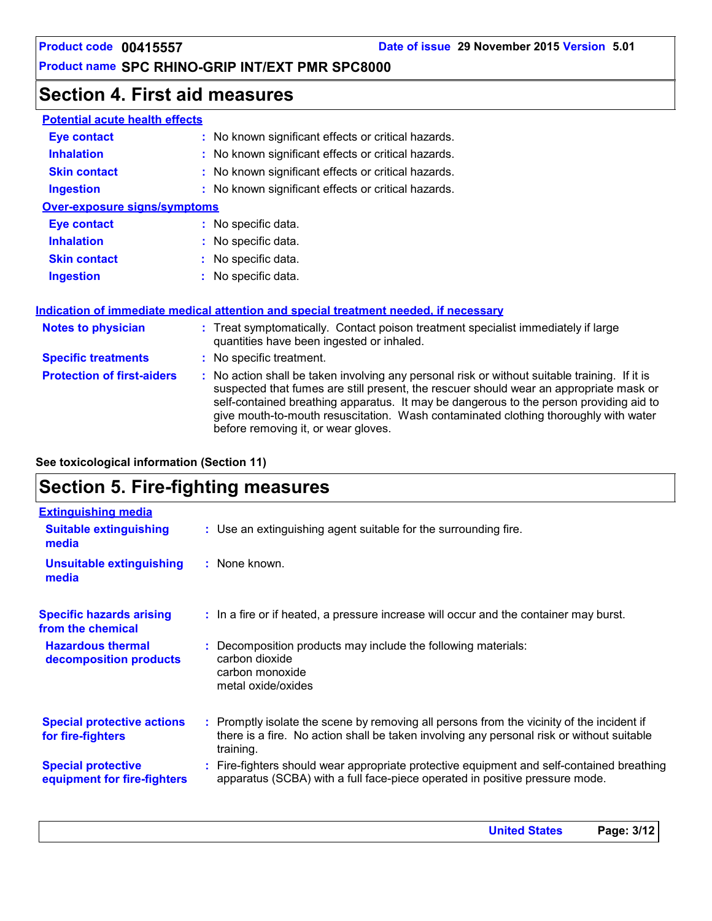### **Section 4. First aid measures**

| <b>Potential acute health effects</b> |                                                                                                                                                                                                                                                                                                                                                                                                               |
|---------------------------------------|---------------------------------------------------------------------------------------------------------------------------------------------------------------------------------------------------------------------------------------------------------------------------------------------------------------------------------------------------------------------------------------------------------------|
| <b>Eye contact</b>                    | : No known significant effects or critical hazards.                                                                                                                                                                                                                                                                                                                                                           |
| <b>Inhalation</b>                     | : No known significant effects or critical hazards.                                                                                                                                                                                                                                                                                                                                                           |
| <b>Skin contact</b>                   | : No known significant effects or critical hazards.                                                                                                                                                                                                                                                                                                                                                           |
| <b>Ingestion</b>                      | : No known significant effects or critical hazards.                                                                                                                                                                                                                                                                                                                                                           |
| <b>Over-exposure signs/symptoms</b>   |                                                                                                                                                                                                                                                                                                                                                                                                               |
| <b>Eye contact</b>                    | : No specific data.                                                                                                                                                                                                                                                                                                                                                                                           |
| <b>Inhalation</b>                     | : No specific data.                                                                                                                                                                                                                                                                                                                                                                                           |
| <b>Skin contact</b>                   | No specific data.                                                                                                                                                                                                                                                                                                                                                                                             |
| <b>Ingestion</b>                      | No specific data.                                                                                                                                                                                                                                                                                                                                                                                             |
|                                       | Indication of immediate medical attention and special treatment needed, if necessary                                                                                                                                                                                                                                                                                                                          |
| <b>Notes to physician</b>             | : Treat symptomatically. Contact poison treatment specialist immediately if large<br>quantities have been ingested or inhaled.                                                                                                                                                                                                                                                                                |
| <b>Specific treatments</b>            | : No specific treatment.                                                                                                                                                                                                                                                                                                                                                                                      |
| <b>Protection of first-aiders</b>     | No action shall be taken involving any personal risk or without suitable training. If it is<br>suspected that fumes are still present, the rescuer should wear an appropriate mask or<br>self-contained breathing apparatus. It may be dangerous to the person providing aid to<br>give mouth-to-mouth resuscitation. Wash contaminated clothing thoroughly with water<br>before removing it, or wear gloves. |

**See toxicological information (Section 11)**

## **Section 5. Fire-fighting measures**

| <b>Extinguishing media</b>                               |                                                                                                                                                                                                     |
|----------------------------------------------------------|-----------------------------------------------------------------------------------------------------------------------------------------------------------------------------------------------------|
| <b>Suitable extinguishing</b><br>media                   | : Use an extinguishing agent suitable for the surrounding fire.                                                                                                                                     |
| <b>Unsuitable extinguishing</b><br>media                 | : None known.                                                                                                                                                                                       |
| <b>Specific hazards arising</b><br>from the chemical     | : In a fire or if heated, a pressure increase will occur and the container may burst.                                                                                                               |
| <b>Hazardous thermal</b><br>decomposition products       | Decomposition products may include the following materials:<br>carbon dioxide<br>carbon monoxide<br>metal oxide/oxides                                                                              |
| <b>Special protective actions</b><br>for fire-fighters   | : Promptly isolate the scene by removing all persons from the vicinity of the incident if<br>there is a fire. No action shall be taken involving any personal risk or without suitable<br>training. |
| <b>Special protective</b><br>equipment for fire-fighters | : Fire-fighters should wear appropriate protective equipment and self-contained breathing<br>apparatus (SCBA) with a full face-piece operated in positive pressure mode.                            |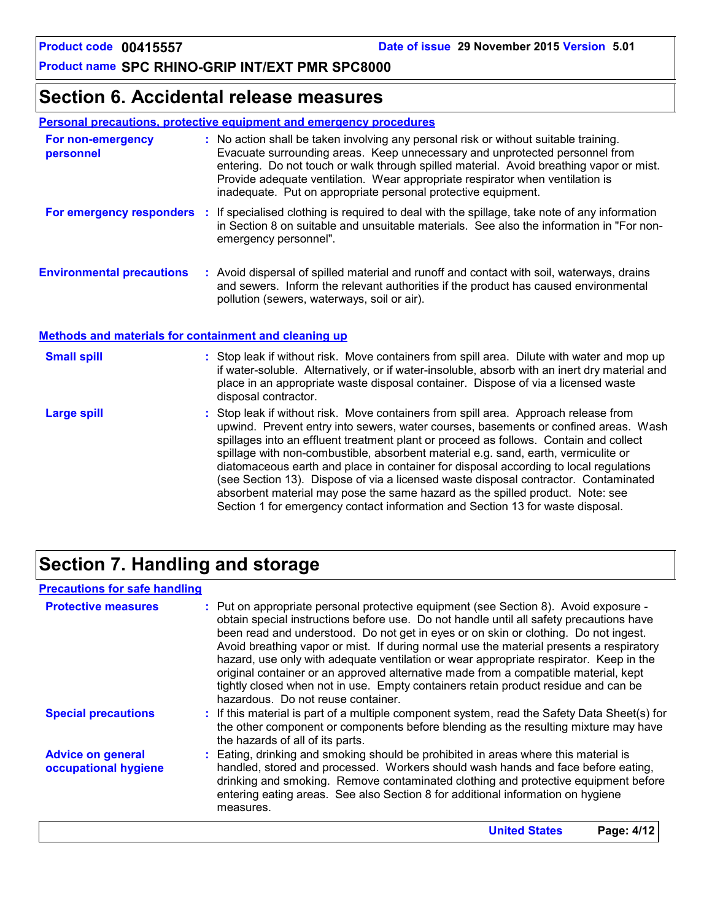### **Section 6. Accidental release measures**

#### **Personal precautions, protective equipment and emergency procedures**

| For non-emergency<br>personnel    | : No action shall be taken involving any personal risk or without suitable training.<br>Evacuate surrounding areas. Keep unnecessary and unprotected personnel from<br>entering. Do not touch or walk through spilled material. Avoid breathing vapor or mist.<br>Provide adequate ventilation. Wear appropriate respirator when ventilation is<br>inadequate. Put on appropriate personal protective equipment. |
|-----------------------------------|------------------------------------------------------------------------------------------------------------------------------------------------------------------------------------------------------------------------------------------------------------------------------------------------------------------------------------------------------------------------------------------------------------------|
| <b>For emergency responders :</b> | If specialised clothing is required to deal with the spillage, take note of any information<br>in Section 8 on suitable and unsuitable materials. See also the information in "For non-<br>emergency personnel".                                                                                                                                                                                                 |
| <b>Environmental precautions</b>  | : Avoid dispersal of spilled material and runoff and contact with soil, waterways, drains<br>and sewers. Inform the relevant authorities if the product has caused environmental<br>pollution (sewers, waterways, soil or air).                                                                                                                                                                                  |

#### **Methods and materials for containment and cleaning up**

| <b>Small spill</b> | : Stop leak if without risk. Move containers from spill area. Dilute with water and mop up<br>if water-soluble. Alternatively, or if water-insoluble, absorb with an inert dry material and<br>place in an appropriate waste disposal container. Dispose of via a licensed waste<br>disposal contractor.                                                                                                                                                                                                                                                                                                                                                                                                     |
|--------------------|--------------------------------------------------------------------------------------------------------------------------------------------------------------------------------------------------------------------------------------------------------------------------------------------------------------------------------------------------------------------------------------------------------------------------------------------------------------------------------------------------------------------------------------------------------------------------------------------------------------------------------------------------------------------------------------------------------------|
| Large spill        | : Stop leak if without risk. Move containers from spill area. Approach release from<br>upwind. Prevent entry into sewers, water courses, basements or confined areas. Wash<br>spillages into an effluent treatment plant or proceed as follows. Contain and collect<br>spillage with non-combustible, absorbent material e.g. sand, earth, vermiculite or<br>diatomaceous earth and place in container for disposal according to local regulations<br>(see Section 13). Dispose of via a licensed waste disposal contractor. Contaminated<br>absorbent material may pose the same hazard as the spilled product. Note: see<br>Section 1 for emergency contact information and Section 13 for waste disposal. |

### **Section 7. Handling and storage**

#### **Precautions for safe handling**

| <b>Protective measures</b>                       | : Put on appropriate personal protective equipment (see Section 8). Avoid exposure -<br>obtain special instructions before use. Do not handle until all safety precautions have<br>been read and understood. Do not get in eyes or on skin or clothing. Do not ingest.<br>Avoid breathing vapor or mist. If during normal use the material presents a respiratory<br>hazard, use only with adequate ventilation or wear appropriate respirator. Keep in the<br>original container or an approved alternative made from a compatible material, kept<br>tightly closed when not in use. Empty containers retain product residue and can be<br>hazardous. Do not reuse container. |
|--------------------------------------------------|--------------------------------------------------------------------------------------------------------------------------------------------------------------------------------------------------------------------------------------------------------------------------------------------------------------------------------------------------------------------------------------------------------------------------------------------------------------------------------------------------------------------------------------------------------------------------------------------------------------------------------------------------------------------------------|
| <b>Special precautions</b>                       | : If this material is part of a multiple component system, read the Safety Data Sheet(s) for<br>the other component or components before blending as the resulting mixture may have<br>the hazards of all of its parts.                                                                                                                                                                                                                                                                                                                                                                                                                                                        |
| <b>Advice on general</b><br>occupational hygiene | : Eating, drinking and smoking should be prohibited in areas where this material is<br>handled, stored and processed. Workers should wash hands and face before eating,<br>drinking and smoking. Remove contaminated clothing and protective equipment before<br>entering eating areas. See also Section 8 for additional information on hygiene<br>measures.                                                                                                                                                                                                                                                                                                                  |
|                                                  | <b>United States</b><br>Page: 4/12                                                                                                                                                                                                                                                                                                                                                                                                                                                                                                                                                                                                                                             |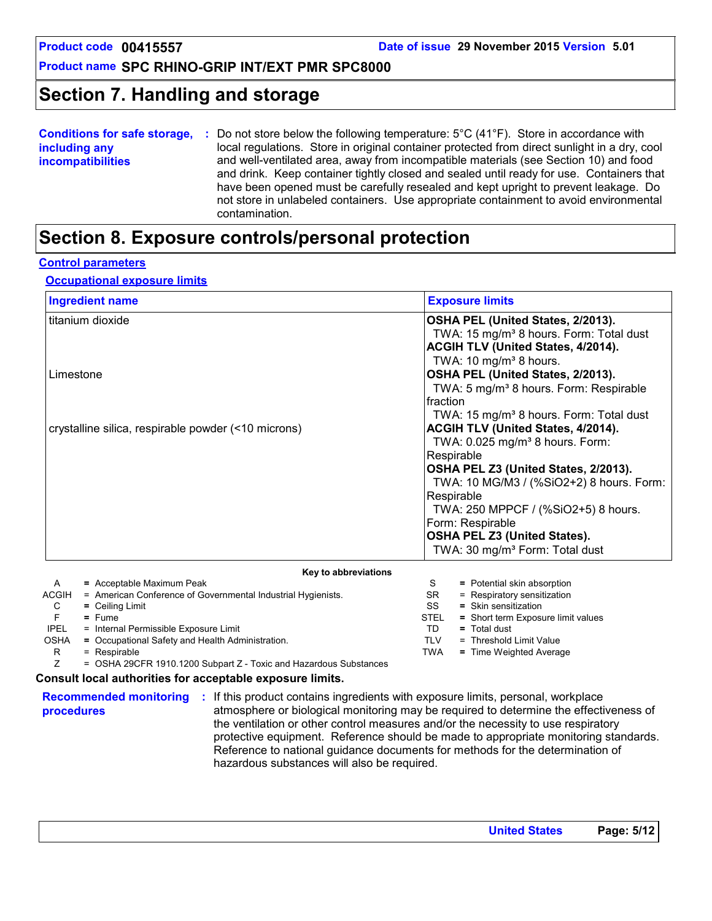### **Section 7. Handling and storage**

| <b>Conditions for safe storage,</b> | Do not store below the following temperature: $5^{\circ}$ C (41 $^{\circ}$ F). Store in accordance with |
|-------------------------------------|---------------------------------------------------------------------------------------------------------|
| including any                       | local regulations. Store in original container protected from direct sunlight in a dry, cool            |
| <b>incompatibilities</b>            | and well-ventilated area, away from incompatible materials (see Section 10) and food                    |
|                                     | and drink. Keep container tightly closed and sealed until ready for use. Containers that                |
|                                     | have been opened must be carefully resealed and kept upright to prevent leakage. Do                     |
|                                     | not store in unlabeled containers. Use appropriate containment to avoid environmental                   |
|                                     | contamination.                                                                                          |

### **Section 8. Exposure controls/personal protection**

#### **Control parameters**

#### **Occupational exposure limits**

| <b>Ingredient name</b>                                                                                                                                                                                                                                                                                                                                                       | <b>Exposure limits</b>                                                                                                                                                                                                                                                                                                                                                                                                                                                                                                                                                                                                                                                                  |  |  |
|------------------------------------------------------------------------------------------------------------------------------------------------------------------------------------------------------------------------------------------------------------------------------------------------------------------------------------------------------------------------------|-----------------------------------------------------------------------------------------------------------------------------------------------------------------------------------------------------------------------------------------------------------------------------------------------------------------------------------------------------------------------------------------------------------------------------------------------------------------------------------------------------------------------------------------------------------------------------------------------------------------------------------------------------------------------------------------|--|--|
| titanium dioxide<br>Limestone<br>crystalline silica, respirable powder (<10 microns)                                                                                                                                                                                                                                                                                         | OSHA PEL (United States, 2/2013).<br>TWA: 15 mg/m <sup>3</sup> 8 hours. Form: Total dust<br>ACGIH TLV (United States, 4/2014).<br>TWA: 10 mg/m <sup>3</sup> 8 hours.<br>OSHA PEL (United States, 2/2013).<br>TWA: 5 mg/m <sup>3</sup> 8 hours. Form: Respirable<br>fraction<br>TWA: 15 mg/m <sup>3</sup> 8 hours. Form: Total dust<br>ACGIH TLV (United States, 4/2014).<br>TWA: 0.025 mg/m <sup>3</sup> 8 hours. Form:<br>Respirable<br>OSHA PEL Z3 (United States, 2/2013).<br>TWA: 10 MG/M3 / (%SiO2+2) 8 hours. Form:<br>Respirable<br>TWA: 250 MPPCF / (%SiO2+5) 8 hours.<br>Form: Respirable<br><b>OSHA PEL Z3 (United States).</b><br>TWA: 30 mg/m <sup>3</sup> Form: Total dust |  |  |
| Key to abbreviations                                                                                                                                                                                                                                                                                                                                                         |                                                                                                                                                                                                                                                                                                                                                                                                                                                                                                                                                                                                                                                                                         |  |  |
| = Acceptable Maximum Peak<br>A<br>ACGIH<br>= American Conference of Governmental Industrial Hygienists.<br>C<br>$=$ Ceiling Limit<br>F<br>$=$ Fume<br><b>IPEL</b><br>= Internal Permissible Exposure Limit<br><b>OSHA</b><br>= Occupational Safety and Health Administration.<br>= Respirable<br>R<br>Z<br>= OSHA 29CFR 1910.1200 Subpart Z - Toxic and Hazardous Substances | S<br>= Potential skin absorption<br><b>SR</b><br>= Respiratory sensitization<br>SS<br>$=$ Skin sensitization<br><b>STEL</b><br>= Short term Exposure limit values<br>TD.<br>$=$ Total dust<br><b>TLV</b><br>= Threshold Limit Value<br><b>TWA</b><br>= Time Weighted Average                                                                                                                                                                                                                                                                                                                                                                                                            |  |  |

#### **Consult local authorities for acceptable exposure limits.**

**procedures**

**Recommended monitoring :** If this product contains ingredients with exposure limits, personal, workplace atmosphere or biological monitoring may be required to determine the effectiveness of the ventilation or other control measures and/or the necessity to use respiratory protective equipment. Reference should be made to appropriate monitoring standards. Reference to national guidance documents for methods for the determination of hazardous substances will also be required.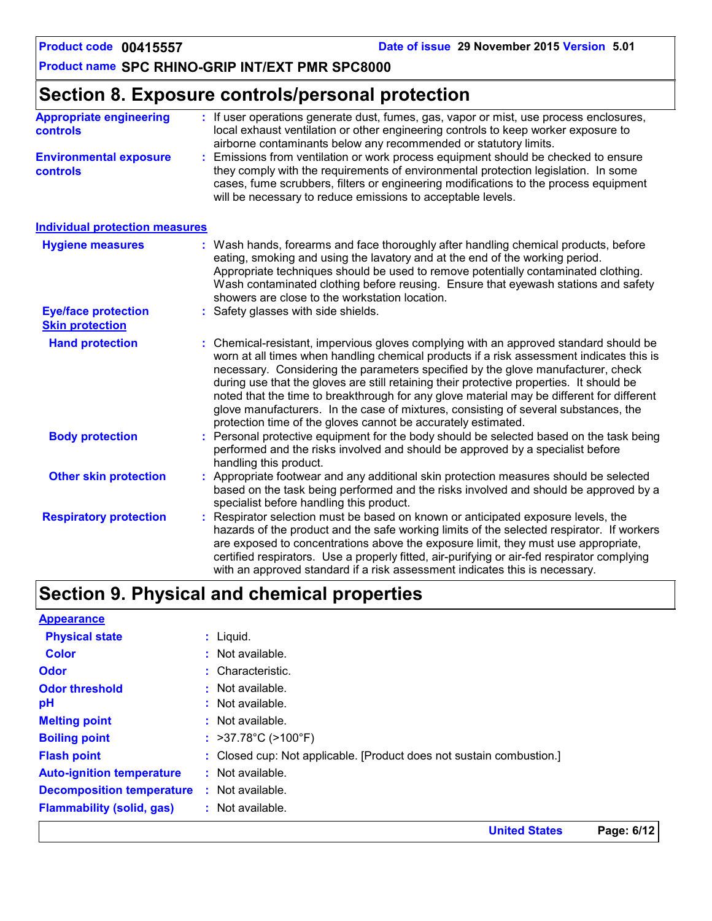**United States Page: 6/12**

### **Product name SPC RHINO-GRIP INT/EXT PMR SPC8000**

### **Section 8. Exposure controls/personal protection**

| <b>Appropriate engineering</b><br><b>controls</b>    | : If user operations generate dust, fumes, gas, vapor or mist, use process enclosures,<br>local exhaust ventilation or other engineering controls to keep worker exposure to<br>airborne contaminants below any recommended or statutory limits.                                                                                                                                                                                                                                                                                                                                                                       |
|------------------------------------------------------|------------------------------------------------------------------------------------------------------------------------------------------------------------------------------------------------------------------------------------------------------------------------------------------------------------------------------------------------------------------------------------------------------------------------------------------------------------------------------------------------------------------------------------------------------------------------------------------------------------------------|
| <b>Environmental exposure</b><br>controls            | Emissions from ventilation or work process equipment should be checked to ensure<br>they comply with the requirements of environmental protection legislation. In some<br>cases, fume scrubbers, filters or engineering modifications to the process equipment<br>will be necessary to reduce emissions to acceptable levels.                                                                                                                                                                                                                                                                                          |
| <b>Individual protection measures</b>                |                                                                                                                                                                                                                                                                                                                                                                                                                                                                                                                                                                                                                        |
| <b>Hygiene measures</b>                              | : Wash hands, forearms and face thoroughly after handling chemical products, before<br>eating, smoking and using the lavatory and at the end of the working period.<br>Appropriate techniques should be used to remove potentially contaminated clothing.<br>Wash contaminated clothing before reusing. Ensure that eyewash stations and safety<br>showers are close to the workstation location.                                                                                                                                                                                                                      |
| <b>Eye/face protection</b><br><b>Skin protection</b> | Safety glasses with side shields.                                                                                                                                                                                                                                                                                                                                                                                                                                                                                                                                                                                      |
| <b>Hand protection</b>                               | : Chemical-resistant, impervious gloves complying with an approved standard should be<br>worn at all times when handling chemical products if a risk assessment indicates this is<br>necessary. Considering the parameters specified by the glove manufacturer, check<br>during use that the gloves are still retaining their protective properties. It should be<br>noted that the time to breakthrough for any glove material may be different for different<br>glove manufacturers. In the case of mixtures, consisting of several substances, the<br>protection time of the gloves cannot be accurately estimated. |
| <b>Body protection</b>                               | Personal protective equipment for the body should be selected based on the task being<br>performed and the risks involved and should be approved by a specialist before<br>handling this product.                                                                                                                                                                                                                                                                                                                                                                                                                      |
| <b>Other skin protection</b>                         | : Appropriate footwear and any additional skin protection measures should be selected<br>based on the task being performed and the risks involved and should be approved by a<br>specialist before handling this product.                                                                                                                                                                                                                                                                                                                                                                                              |
| <b>Respiratory protection</b>                        | Respirator selection must be based on known or anticipated exposure levels, the<br>hazards of the product and the safe working limits of the selected respirator. If workers<br>are exposed to concentrations above the exposure limit, they must use appropriate,<br>certified respirators. Use a properly fitted, air-purifying or air-fed respirator complying<br>with an approved standard if a risk assessment indicates this is necessary.                                                                                                                                                                       |

### **Section 9. Physical and chemical properties**

| <b>Appearance</b>                |                                                                      |
|----------------------------------|----------------------------------------------------------------------|
| <b>Physical state</b>            | $:$ Liquid.                                                          |
| <b>Color</b>                     | $:$ Not available.                                                   |
| <b>Odor</b>                      | : Characteristic.                                                    |
| <b>Odor threshold</b>            | $:$ Not available.                                                   |
| рH                               | : Not available.                                                     |
| <b>Melting point</b>             | $:$ Not available.                                                   |
| <b>Boiling point</b>             | : $>37.78^{\circ}$ C ( $>100^{\circ}$ F)                             |
| <b>Flash point</b>               | : Closed cup: Not applicable. [Product does not sustain combustion.] |
| <b>Auto-ignition temperature</b> | $:$ Not available.                                                   |
| <b>Decomposition temperature</b> | : Not available.                                                     |
| <b>Flammability (solid, gas)</b> | : Not available.                                                     |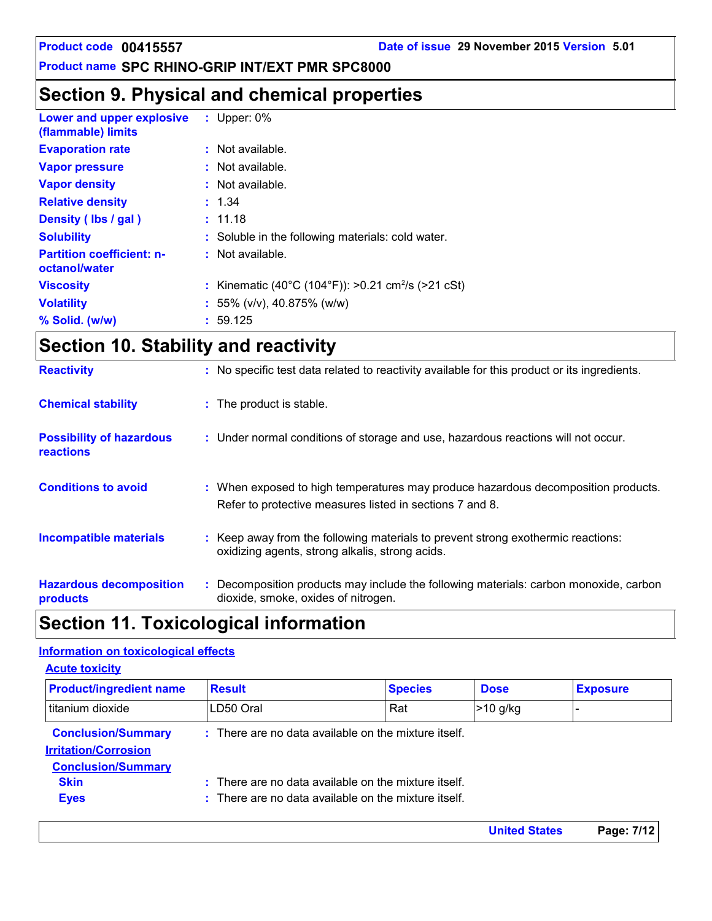**United States Page: 7/12**

### **Product name SPC RHINO-GRIP INT/EXT PMR SPC8000**

### **Section 9. Physical and chemical properties**

| Lower and upper explosive<br>(flammable) limits   | : Upper: $0\%$                                                 |
|---------------------------------------------------|----------------------------------------------------------------|
| <b>Evaporation rate</b>                           | $:$ Not available.                                             |
| <b>Vapor pressure</b>                             | $:$ Not available.                                             |
| <b>Vapor density</b>                              | : Not available.                                               |
| <b>Relative density</b>                           | : 1.34                                                         |
| Density (lbs / gal)                               | : 11.18                                                        |
| <b>Solubility</b>                                 | : Soluble in the following materials: cold water.              |
| <b>Partition coefficient: n-</b><br>octanol/water | $:$ Not available.                                             |
| <b>Viscosity</b>                                  | : Kinematic (40°C (104°F)): >0.21 cm <sup>2</sup> /s (>21 cSt) |
| <b>Volatility</b>                                 | : 55% ( $v/v$ ), 40.875% ( $w/w$ )                             |
| % Solid. (w/w)                                    | : 59.125                                                       |

### **Section 10. Stability and reactivity**

| <b>Reactivity</b>                                   | : No specific test data related to reactivity available for this product or its ingredients.                                                  |
|-----------------------------------------------------|-----------------------------------------------------------------------------------------------------------------------------------------------|
| <b>Chemical stability</b>                           | : The product is stable.                                                                                                                      |
| <b>Possibility of hazardous</b><br><b>reactions</b> | : Under normal conditions of storage and use, hazardous reactions will not occur.                                                             |
| <b>Conditions to avoid</b>                          | : When exposed to high temperatures may produce hazardous decomposition products.<br>Refer to protective measures listed in sections 7 and 8. |
| <b>Incompatible materials</b>                       | : Keep away from the following materials to prevent strong exothermic reactions:<br>oxidizing agents, strong alkalis, strong acids.           |
| <b>Hazardous decomposition</b><br>products          | Decomposition products may include the following materials: carbon monoxide, carbon<br>dioxide, smoke, oxides of nitrogen.                    |

### **Section 11. Toxicological information**

#### **Information on toxicological effects**

| <b>Product/ingredient name</b>                           | <b>Result</b>                                        | <b>Species</b>                                       | <b>Dose</b> | <b>Exposure</b> |
|----------------------------------------------------------|------------------------------------------------------|------------------------------------------------------|-------------|-----------------|
|                                                          |                                                      |                                                      |             |                 |
| titanium dioxide                                         | LD50 Oral                                            | Rat                                                  | $>10$ g/kg  |                 |
| <b>Conclusion/Summary</b><br><b>Irritation/Corrosion</b> | : There are no data available on the mixture itself. |                                                      |             |                 |
| <b>Conclusion/Summary</b>                                |                                                      |                                                      |             |                 |
|                                                          |                                                      | : There are no data available on the mixture itself. |             |                 |
| <b>Skin</b>                                              |                                                      |                                                      |             |                 |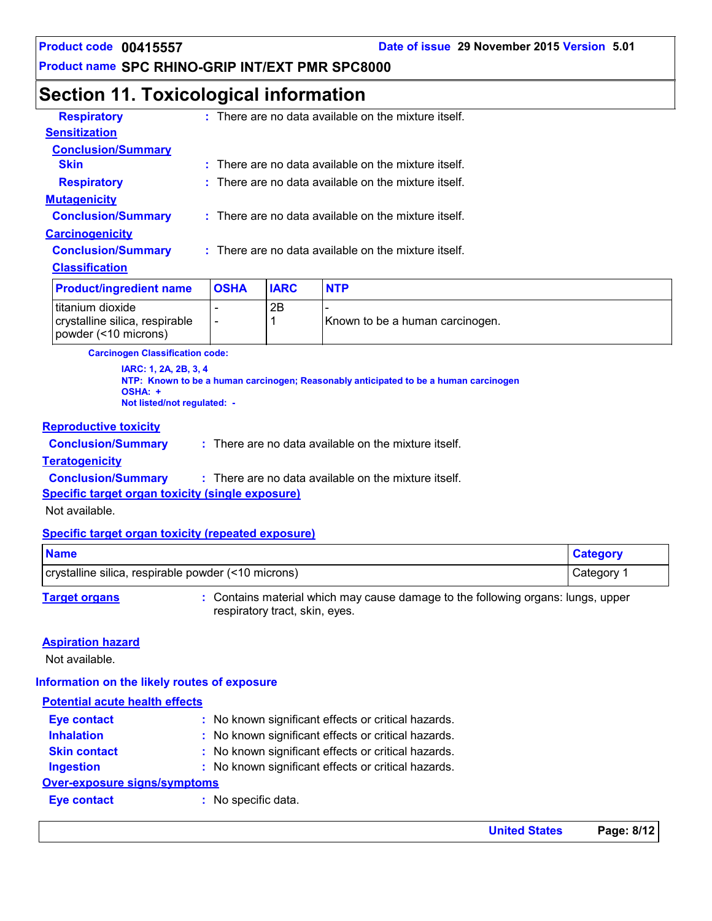**Product code 00415557 Date of issue 29 November 2015 Version 5.01**

#### **Product name SPC RHINO-GRIP INT/EXT PMR SPC8000**

### **Section 11. Toxicological information**

| <b>Respiratory</b>        | : There are no data available on the mixture itself.   |
|---------------------------|--------------------------------------------------------|
| <b>Sensitization</b>      |                                                        |
| <b>Conclusion/Summary</b> |                                                        |
| <b>Skin</b>               | $:$ There are no data available on the mixture itself. |
| <b>Respiratory</b>        | $:$ There are no data available on the mixture itself. |
| <b>Mutagenicity</b>       |                                                        |
| <b>Conclusion/Summary</b> | $:$ There are no data available on the mixture itself. |
| <b>Carcinogenicity</b>    |                                                        |
| <b>Conclusion/Summary</b> | : There are no data available on the mixture itself.   |
| <b>Classification</b>     |                                                        |
|                           |                                                        |

| <b>Product/ingredient name</b>                                               | <b>OSHA</b> | <b>IARC</b> | <b>NTP</b>                      |
|------------------------------------------------------------------------------|-------------|-------------|---------------------------------|
| I titanium dioxide<br>crystalline silica, respirable<br>powder (<10 microns) |             | 2Β          | Known to be a human carcinogen. |

**Carcinogen Classification code:**

**IARC: 1, 2A, 2B, 3, 4 NTP: Known to be a human carcinogen; Reasonably anticipated to be a human carcinogen OSHA: + Not listed/not regulated: -**

#### **Reproductive toxicity**

**Conclusion/Summary :**

There are no data available on the mixture itself.

#### **Teratogenicity**

**Conclusion/Summary :** : There are no data available on the mixture itself.

**Specific target organ toxicity (single exposure)**

Not available.

#### **Specific target organ toxicity (repeated exposure)**

| <b>Name</b>                                         | <b>Category</b> |
|-----------------------------------------------------|-----------------|
| crystalline silica, respirable powder (<10 microns) | Category        |

**Target organs 1988 :** Contains material which may cause damage to the following organs: lungs, upper respiratory tract, skin, eyes.

#### **Aspiration hazard**

Not available.

#### **Information on the likely routes of exposure**

| <b>Potential acute health effects</b> |                                                     |
|---------------------------------------|-----------------------------------------------------|
| <b>Eye contact</b>                    | : No known significant effects or critical hazards. |
| <b>Inhalation</b>                     | : No known significant effects or critical hazards. |
| <b>Skin contact</b>                   | : No known significant effects or critical hazards. |
| <b>Ingestion</b>                      | : No known significant effects or critical hazards. |
| <b>Over-exposure signs/symptoms</b>   |                                                     |
| <b>Eye contact</b>                    | : No specific data.                                 |
|                                       |                                                     |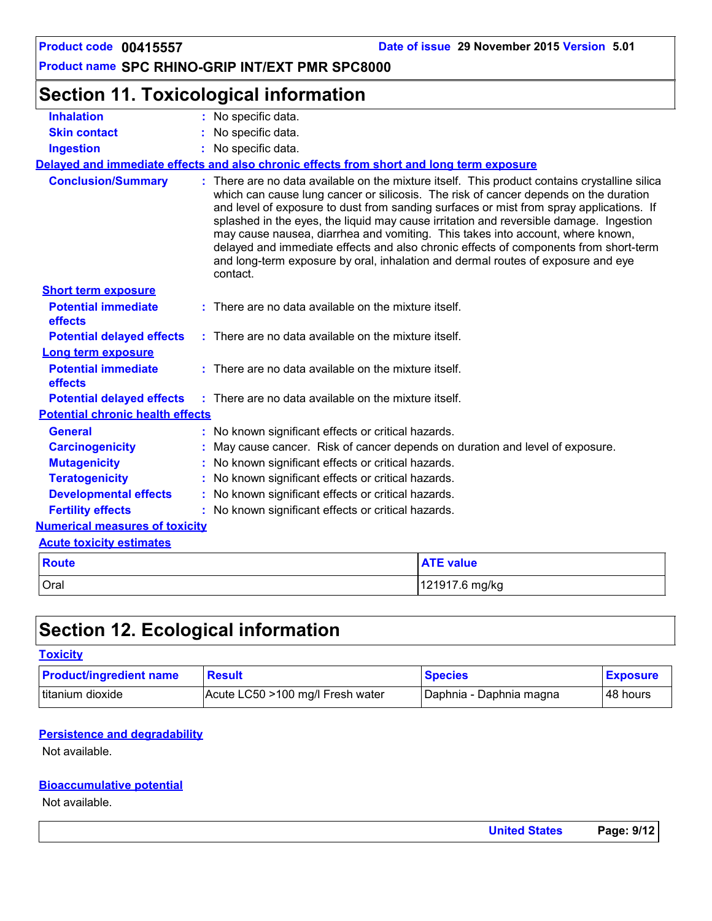#### **Section 11. Toxicological information Conclusion/Summary : General : Carcinogenicity : Mutagenicity : Teratogenicity : Developmental effects : Fertility effects : Potential chronic health effects Delayed and immediate effects and also chronic effects from short and long term exposure Numerical measures of toxicity** Oral 121917.6 mg/kg **Route ATE value Acute toxicity estimates Potential immediate effects :** There are no data available on the mixture itself. **Short term exposure Potential delayed effects : Potential immediate effects :** There are no data available on the mixture itself. **Long term exposure Potential delayed effects : Skin contact Ingestion Inhalation :** No specific data. No specific data. **:** No specific data. **:** May cause cancer. Risk of cancer depends on duration and level of exposure. There are no data available on the mixture itself. This product contains crystalline silica which can cause lung cancer or silicosis. The risk of cancer depends on the duration and level of exposure to dust from sanding surfaces or mist from spray applications. If splashed in the eyes, the liquid may cause irritation and reversible damage. Ingestion may cause nausea, diarrhea and vomiting. This takes into account, where known, delayed and immediate effects and also chronic effects of components from short-term and long-term exposure by oral, inhalation and dermal routes of exposure and eye contact. : No known significant effects or critical hazards. No known significant effects or critical hazards. : No known significant effects or critical hazards. : No known significant effects or critical hazards. : No known significant effects or critical hazards. There are no data available on the mixture itself. There are no data available on the mixture itself.

### **Section 12. Ecological information**

#### **Toxicity**

| <b>Product/ingredient name</b> | <b>Result</b>                    | <b>Species</b>          | <b>Exposure</b> |
|--------------------------------|----------------------------------|-------------------------|-----------------|
| Ititanium dioxide              | Acute LC50 >100 mg/l Fresh water | Daphnia - Daphnia magna | 48 hours        |

#### **Persistence and degradability**

Not available.

#### **Bioaccumulative potential**

Not available.

| <b>United States</b> | Page: 9/12 |  |
|----------------------|------------|--|
|                      |            |  |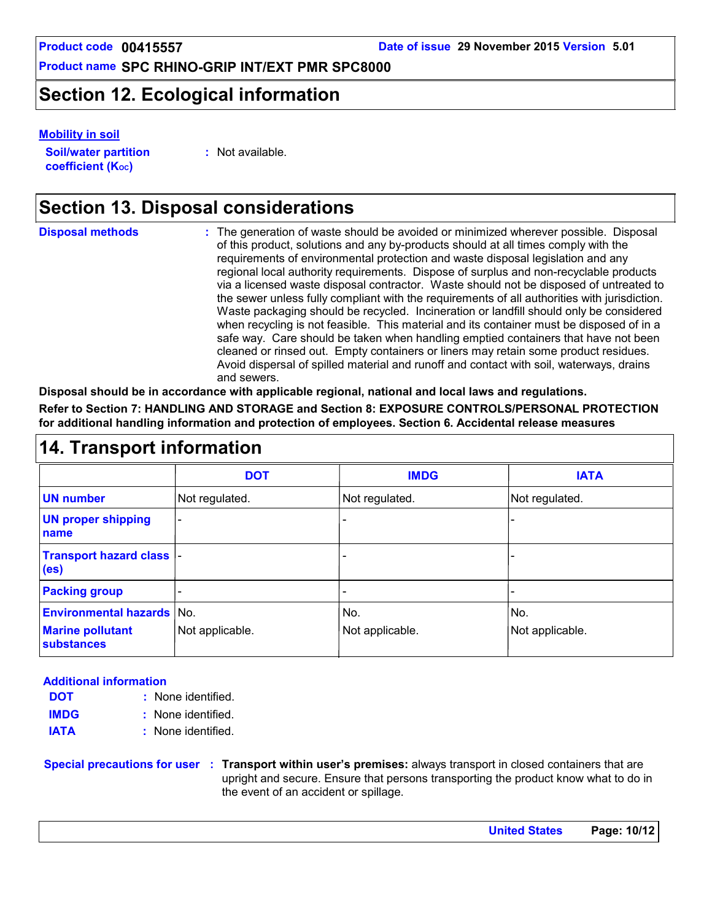### **Section 12. Ecological information**

#### **Mobility in soil**

**Soil/water partition coefficient (KOC)**

**:** Not available.

### **Section 13. Disposal considerations**

| <b>Disposal methods</b> | : The generation of waste should be avoided or minimized wherever possible. Disposal<br>of this product, solutions and any by-products should at all times comply with the<br>requirements of environmental protection and waste disposal legislation and any<br>regional local authority requirements. Dispose of surplus and non-recyclable products<br>via a licensed waste disposal contractor. Waste should not be disposed of untreated to<br>the sewer unless fully compliant with the requirements of all authorities with jurisdiction.<br>Waste packaging should be recycled. Incineration or landfill should only be considered<br>when recycling is not feasible. This material and its container must be disposed of in a<br>safe way. Care should be taken when handling emptied containers that have not been<br>cleaned or rinsed out. Empty containers or liners may retain some product residues.<br>Avoid dispersal of spilled material and runoff and contact with soil, waterways, drains<br>and sewers. |
|-------------------------|-------------------------------------------------------------------------------------------------------------------------------------------------------------------------------------------------------------------------------------------------------------------------------------------------------------------------------------------------------------------------------------------------------------------------------------------------------------------------------------------------------------------------------------------------------------------------------------------------------------------------------------------------------------------------------------------------------------------------------------------------------------------------------------------------------------------------------------------------------------------------------------------------------------------------------------------------------------------------------------------------------------------------------|
|                         |                                                                                                                                                                                                                                                                                                                                                                                                                                                                                                                                                                                                                                                                                                                                                                                                                                                                                                                                                                                                                               |

**Disposal should be in accordance with applicable regional, national and local laws and regulations.**

**Refer to Section 7: HANDLING AND STORAGE and Section 8: EXPOSURE CONTROLS/PERSONAL PROTECTION for additional handling information and protection of employees. Section 6. Accidental release measures**

### **14. Transport information**

|                                                                                  | <b>DOT</b>               | <b>IMDG</b>            | <b>IATA</b>            |
|----------------------------------------------------------------------------------|--------------------------|------------------------|------------------------|
| <b>UN number</b>                                                                 | Not regulated.           | Not regulated.         | Not regulated.         |
| <b>UN proper shipping</b><br>name                                                | $\overline{\phantom{0}}$ |                        |                        |
| <b>Transport hazard class  -</b><br>(e <sub>s</sub> )                            |                          |                        |                        |
| <b>Packing group</b>                                                             |                          |                        |                        |
| <b>Environmental hazards No.</b><br><b>Marine pollutant</b><br><b>substances</b> | Not applicable.          | No.<br>Not applicable. | No.<br>Not applicable. |

#### **Additional information**

- None identified. **:** None identified. **: DOT IMDG IATA :** None identified.
- 

**Special precautions for user Transport within user's premises:** always transport in closed containers that are **:** upright and secure. Ensure that persons transporting the product know what to do in the event of an accident or spillage.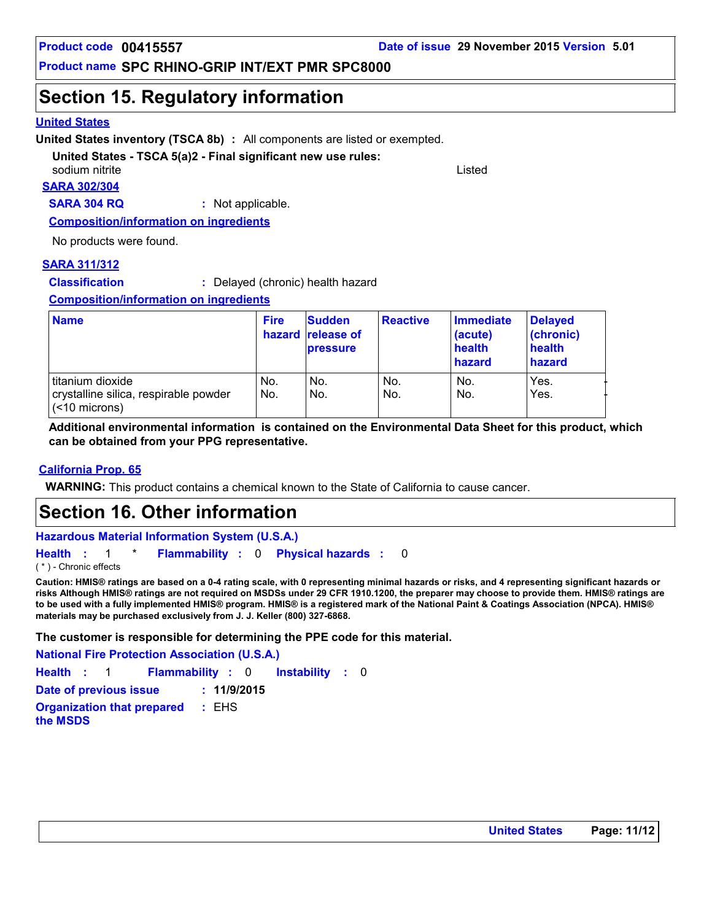### **Section 15. Regulatory information**

#### **United States**

**United States inventory (TSCA 8b) :** All components are listed or exempted.

#### **United States - TSCA 5(a)2 - Final significant new use rules:**

**SARA 302/304** sodium nitrite Listed and Listed and Listed and Listed and Listed and Listed and Listed and Listed and Listed

**SARA 304 RQ :** Not applicable.

**Composition/information on ingredients**

No products were found.

#### **SARA 311/312**

**Classification :** Delayed (chronic) health hazard

**Composition/information on ingredients**

| <b>Name</b>                                                                   | <b>Fire</b> | <b>Sudden</b><br>hazard release of<br><b>pressure</b> | <b>Reactive</b> | Immediate<br>(acute)<br>health<br>hazard | <b>Delayed</b><br>(chronic)<br>health<br>hazard |
|-------------------------------------------------------------------------------|-------------|-------------------------------------------------------|-----------------|------------------------------------------|-------------------------------------------------|
| titanium dioxide<br>crystalline silica, respirable powder<br>$(< 10$ microns) | No.<br>No.  | No.<br>No.                                            | No.<br>No.      | No.<br>No.                               | Yes.<br>Yes.                                    |

**Additional environmental information is contained on the Environmental Data Sheet for this product, which can be obtained from your PPG representative.**

#### **California Prop. 65**

**WARNING:** This product contains a chemical known to the State of California to cause cancer.

### **Section 16. Other information**

**Hazardous Material Information System (U.S.A.)**

**Health** : 1 \* **Flammability** : 0 **Physical hazards** : 0 0 ( \* ) - Chronic effects

**Caution: HMIS® ratings are based on a 0-4 rating scale, with 0 representing minimal hazards or risks, and 4 representing significant hazards or risks Although HMIS® ratings are not required on MSDSs under 29 CFR 1910.1200, the preparer may choose to provide them. HMIS® ratings are to be used with a fully implemented HMIS® program. HMIS® is a registered mark of the National Paint & Coatings Association (NPCA). HMIS® materials may be purchased exclusively from J. J. Keller (800) 327-6868.**

**The customer is responsible for determining the PPE code for this material.**

**National Fire Protection Association (U.S.A.)**

**Instability** : 0 **Health**: 1 **Flammability**: 0 **Instability**: 0 **Date of previous issue : 11/9/2015**

**Organization that prepared the MSDS :** EHS